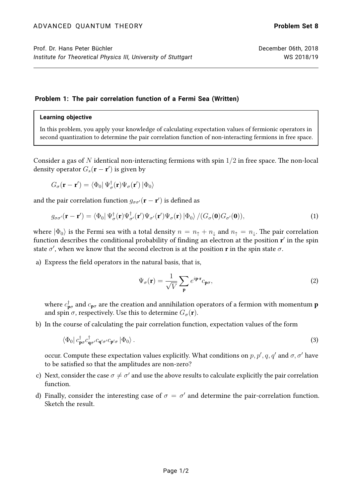## **Problem 1: The pair correlation function of a Fermi Sea (Written)**

## **Learning objective**

In this problem, you apply your knowledge of calculating expectation values of fermionic operators in second quantization to determine the pair correlation function of non-interacting fermions in free space.

Consider a gas of N identical non-interacting fermions with spin  $1/2$  in free space. The non-local density operator  $G_s(\mathbf{r}-\mathbf{r}')$  is given by

$$
G_{\sigma}(\mathbf{r}-\mathbf{r}') = \langle \Phi_0 | \, \Psi_{\sigma}^{\dagger}(\mathbf{r}) \Psi_{\sigma}(\mathbf{r}') \, | \Phi_0 \rangle
$$

and the pair correlation function  $g_{\sigma\sigma'}(\mathbf{r}-\mathbf{r}')$  is defined as

$$
g_{\sigma\sigma'}(\mathbf{r}-\mathbf{r}') = \langle \Phi_0 | \Psi_{\sigma}^{\dagger}(\mathbf{r}) \Psi_{\sigma'}^{\dagger}(\mathbf{r}') \Psi_{\sigma'}(\mathbf{r}') \Psi_{\sigma}(\mathbf{r}) | \Phi_0 \rangle / (G_{\sigma}(\mathbf{0}) G_{\sigma'}(\mathbf{0})), \tag{1}
$$

where  $|\Phi_0\rangle$  is the Fermi sea with a total density  $n = n_{\uparrow} + n_{\downarrow}$  and  $n_{\uparrow} = n_{\downarrow}$ . The pair correlation function describes the conditional probability of finding an electron at the position  ${\bf r}'$  in the spin state  $\sigma'$ , when we know that the second electron is at the position **r** in the spin state  $\sigma$ .

a) Express the field operators in the natural basis, that is,

$$
\Psi_{\sigma}(\mathbf{r}) = \frac{1}{\sqrt{V}} \sum_{\mathbf{p}} e^{i\mathbf{p}\cdot\mathbf{r}} c_{\mathbf{p}\sigma},
$$
\n(2)

where  $c^{\dagger}_{\mathbf{p}\sigma}$  and  $c_{\mathbf{p}\sigma}$  are the creation and annihilation operators of a fermion with momentum  $\mathbf p$ and spin  $\sigma$ , respectively. Use this to determine  $G_{\sigma}(\mathbf{r})$ .

b) In the course of calculating the pair correlation function, expectation values of the form

$$
\langle \Phi_0 | c_{\mathbf{p}\sigma}^{\dagger} c_{\mathbf{q}\sigma'}^{\dagger} c_{\mathbf{q}'\sigma'} c_{\mathbf{p}'\sigma} | \Phi_0 \rangle . \tag{3}
$$

occur. Compute these expectation values explicitly. What conditions on  $p, p', q, q'$  and  $\sigma, \sigma'$  have to be satisfied so that the amplitudes are non-zero?

- c) Next, consider the case  $\sigma \neq \sigma'$  and use the above results to calculate explicitly the pair correlation function.
- d) Finally, consider the interesting case of  $\sigma = \sigma'$  and determine the pair-correlation function. Sketch the result.